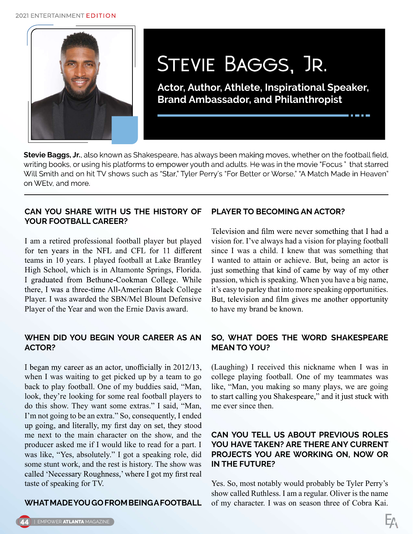#### 2021 ENTERTAINMENT EDITION



# STEVIE BAGGS, JR.

Actor, Author, Athlete, Inspirational Speaker, Brand Ambassador, and Philanthropist

Stevie Baggs, Jr., also known as Shakespeare, has always been making moves, whether on the football field, writing books, or using his platforms to empower youth and adults. He was in the movie "Focus" that starred Will Smith and on hit TV shows such as "Star," Tyler Perry's "For Better or Worse," "A Match Made in Heaven" on WEtv. and more.

#### CAN YOU SHARE WITH US THE HISTORY OF YOUR FOOTBALL CAREER?

I am a retired professional football player but played for ten years in the NFL and CFL for 11 different teams in 10 years. I played football at Lake Brantley High School, which is in Altamonte Springs, Florida.<br>I graduated from Bethune-Cookman College. While there, I was a three-time All-American Black College Player. I was awarded the SBN/Mel Blount Defensive Player of the Year and won the Ernie Davis award.

#### WHEN DID YOU BEGIN YOUR CAREER AS AN ACTOR?

I began my career as an actor, unofficially in 2012/13, when I was waiting to get picked up by a team to go back to play football. One of my buddies said, "Man, look, they're looking for some real football players to do this show. They want some extras." I said, "Man, I'm not going to be an extra." So, consequently, I ended up going, and literally, my first day on set, they stood me next to the main character on the show, and the producer asked me if I would like to read for a part. I was like, "Yes, absolutely." I got a speaking role, did some stunt work, and the rest is history. The show was called 'Necessary Roughness,' where I got my first real taste of speaking for TV.

## WHAT MADE YOU GO FROM BEING A FOOTBALL

#### PLAYER TO BECOMING AN ACTOR?

Television and film were never something that I had a vision for. I've always had a vision for playing football since I was a child. I knew that was something that I wanted to attain or achieve. But, being an actor is just something that kind of came by way of my other passion, which is speaking. When you have a big name, it's easy to parley that into more speaking opportunities. But, television and film gives me another opportunity to have my brand be known.

## SO, WHAT DOES THE WORD SHAKESPEARE MEAN TO YOU?

(Laughing) I received this nickname when I was in college playing football. One of my teammates was like, "Man, you making so many plays, we are going to start calling you Shakespeare," and it just stuck with me ever since then.

#### CAN YOU TELL US ABOUT PREVIOUS ROLES YOU HAVE TAKEN? ARE THERE ANY CURRENT PROJECTS YOU ARE WORKING ON, NOW OR IN THE FUTURE?

Yes. So, most notably would probably be Tyler Perry's show called Ruthless. I am a regular. Oliver is the name of my character. I was on season three of Cobra Kai.